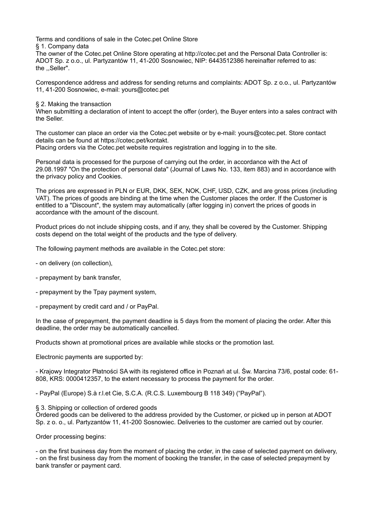Terms and conditions of sale in the Cotec.pet Online Store

§ 1. Company data

The owner of the Cotec.pet Online Store operating at http://cotec.pet and the Personal Data Controller is: ADOT Sp. z o.o., ul. Partyzantów 11, 41-200 Sosnowiec, NIP: 6443512386 hereinafter referred to as: the ,,Seller".

Correspondence address and address for sending returns and complaints: ADOT Sp. z o.o., ul. Partyzantów 11, 41-200 Sosnowiec, e-mail: yours@cotec.pet

§ 2. Making the transaction

When submitting a declaration of intent to accept the offer (order), the Buyer enters into a sales contract with the Seller.

The customer can place an order via the Cotec.pet website or by e-mail: yours@cotec.pet. Store contact details can be found at https://cotec.pet/kontakt. Placing orders via the Cotec.pet website requires registration and logging in to the site.

Personal data is processed for the purpose of carrying out the order, in accordance with the Act of 29.08.1997 "On the protection of personal data" (Journal of Laws No. 133, item 883) and in accordance with the privacy policy and Cookies.

The prices are expressed in PLN or EUR, DKK, SEK, NOK, CHF, USD, CZK, and are gross prices (including VAT). The prices of goods are binding at the time when the Customer places the order. If the Customer is entitled to a "Discount", the system may automatically (after logging in) convert the prices of goods in accordance with the amount of the discount.

Product prices do not include shipping costs, and if any, they shall be covered by the Customer. Shipping costs depend on the total weight of the products and the type of delivery.

The following payment methods are available in the Cotec.pet store:

- on delivery (on collection),
- prepayment by bank transfer,
- prepayment by the Tpay payment system,
- prepayment by credit card and / or PayPal.

In the case of prepayment, the payment deadline is 5 days from the moment of placing the order. After this deadline, the order may be automatically cancelled.

Products shown at promotional prices are available while stocks or the promotion last.

Electronic payments are supported by:

- Krajowy Integrator Płatności SA with its registered office in Poznań at ul. Św. Marcina 73/6, postal code: 61- 808, KRS: 0000412357, to the extent necessary to process the payment for the order.

- PayPal (Europe) S.à r.l.et Cie, S.C.A. (R.C.S. Luxembourg B 118 349) ("PayPal").

§ 3. Shipping or collection of ordered goods

Ordered goods can be delivered to the address provided by the Customer, or picked up in person at ADOT Sp. z o. o., ul. Partyzantów 11, 41-200 Sosnowiec. Deliveries to the customer are carried out by courier.

Order processing begins:

- on the first business day from the moment of placing the order, in the case of selected payment on delivery, - on the first business day from the moment of booking the transfer, in the case of selected prepayment by bank transfer or payment card.